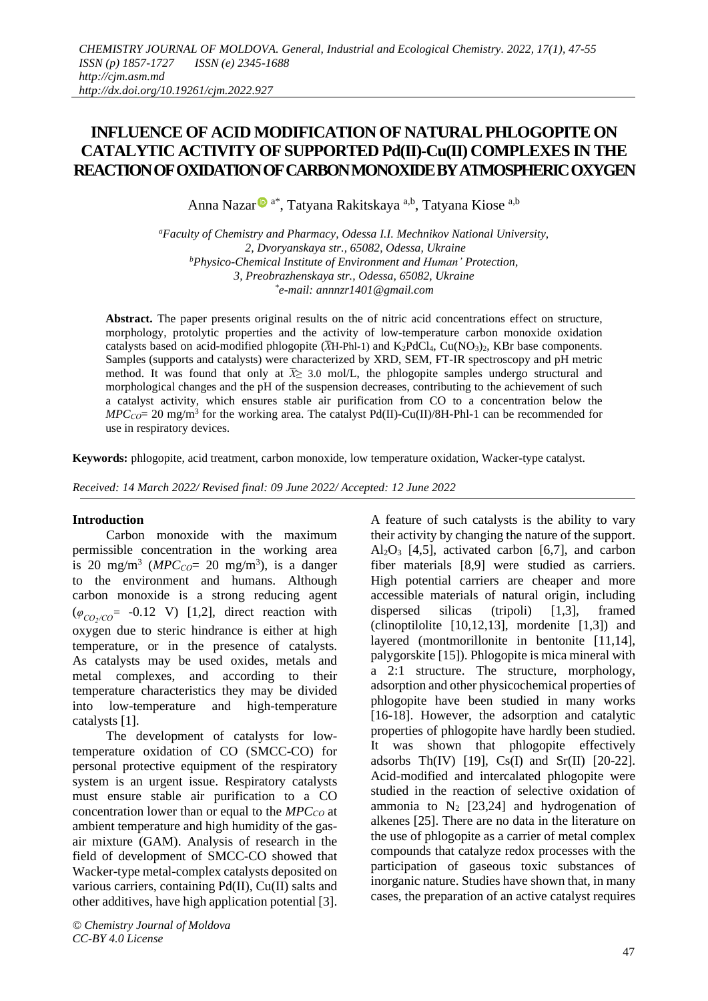# **INFLUENCE OF ACID MODIFICATION OF NATURALPHLOGOPITE ON CATALYTIC ACTIVITY OF SUPPORTED Pd(II)-Cu(II) COMPLEXES IN THE REACTIONOFOXIDATIONOFCARBONMONOXIDEBYATMOSPHERICOXYGEN**

Anna Nazar<sup>o a\*</sup>, Tatyana Rakitskaya <sup>a,b</sup>, Tatyana Kiose <sup>a,b</sup>

*<sup>a</sup>Faculty of Chemistry and [Pharmacy,](http://onu.edu.ua/en/structure/faculty/chem) Odessa I.I. Mechnikov National University, 2, Dvoryanskaya str., 65082, Odessa, Ukraine <sup>b</sup>Physico-Chemical Institute of Environment and Human' Protection, 3, Preobrazhenskaya str., Odessa, 65082, Ukraine \* e-mail: annnzr1401@gmail.com*

**Abstract.** The paper presents original results on the of nitric acid concentrations effect on structure, morphology, protolytic properties and the activity of low-temperature carbon monoxide oxidation catalysts based on acid-modified phlogopite  $(TH-Ph1-1)$  and  $K_2PdCl_4$ ,  $Cu(NO_3)_2$ , KBr base components. Samples (supports and catalysts) were characterized by XRD, SEM, FT-IR spectroscopy and pH metric method. It was found that only at  $\bar{X}$  3.0 mol/L, the phlogopite samples undergo structural and morphological changes and the pH of the suspension decreases, contributing to the achievement of such a catalyst activity, which ensures stable air purification from CO to a concentration below the  $MPC_{CO} = 20$  mg/m<sup>3</sup> for the working area. The catalyst Pd(II)-Cu(II)/8H-Phl-1 can be recommended for use in respiratory devices.

**Keywords:** phlogopite, acid treatment, carbon monoxide, low temperature oxidation, Wacker-type catalyst.

*Received: 14 March 2022/ Revised final: 09 June 2022/ Accepted: 12 June 2022*

# **Introduction**

Carbon monoxide with the maximum permissible concentration in the working area is 20 mg/m<sup>3</sup> ( $MPC_{CO} = 20$  mg/m<sup>3</sup>), is a danger to the environment and humans. Although carbon monoxide is a strong reducing agent (*φСО<sup>2</sup> /СО*= -0.12 V) [1,2], direct reaction with oxygen due to steric hindrance is either at high temperature, or in the presence of catalysts. As catalysts may be used oxides, metals and metal complexes, and according to their temperature characteristics they may be divided into low-temperature and high-temperature catalysts [1].

The development of catalysts for lowtemperature oxidation of CO (SMCC-CO) for personal protective equipment of the respiratory system is an urgent issue. Respiratory catalysts must ensure stable air purification to a CO concentration lower than or equal to the *MPC*<sup>*CO*</sup> at ambient temperature and high humidity of the gasair mixture (GAM). Analysis of research in the field of development of SMCC-CO showed that Wacker-type metal-complex catalysts deposited on various carriers, containing Pd(II), Cu(II) salts and other additives, have high application potential [3].

*© Chemistry Journal of Moldova CC-BY 4.0 License*

A feature of such catalysts is the ability to vary their activity by changing the nature of the support.  $Al_2O_3$  [4,5], activated carbon [6,7], and carbon fiber materials [8,9] were studied as carriers. High potential carriers are cheaper and more accessible materials of natural origin, including dispersed silicas (tripoli) [1,3], framed (clinoptilolite  $[10,12,13]$ , mordenite  $[1,3]$ ) and layered (montmorillonite in bentonite [11,14], palygorskite [15]). Phlogopite is mica mineral with a 2:1 structure. The structure, morphology, adsorption and other physicochemical properties of phlogopite have been studied in many works [16-18]. However, the adsorption and catalytic properties of phlogopite have hardly been studied. It was shown that phlogopite effectively adsorbs Th(IV) [19],  $Cs(I)$  and  $Sr(II)$  [20-22]. Acid-modified and intercalated phlogopite were studied in the reaction of selective oxidation of ammonia to  $N_2$  [23,24] and hydrogenation of alkenes [25]. There are no data in the literature on the use of phlogopite as a carrier of metal complex compounds that catalyze redox processes with the participation of gaseous toxic substances of inorganic nature. Studies have shown that, in many cases, the preparation of an active catalyst requires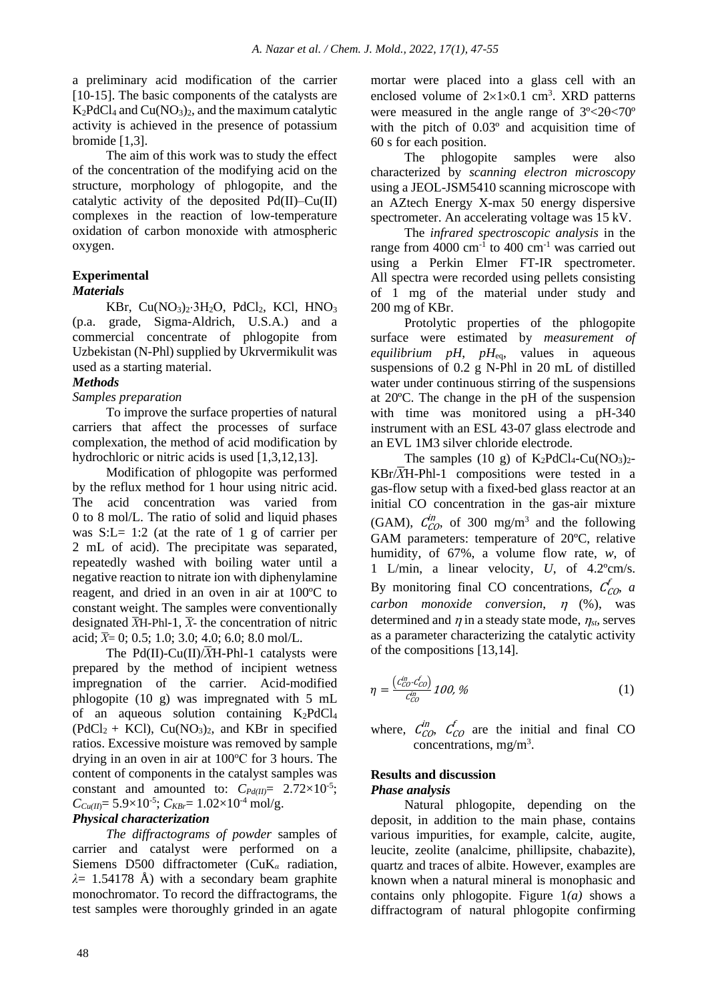a preliminary acid modification of the carrier [10-15]. The basic components of the catalysts are  $K_2PdCl_4$  and  $Cu(NO_3)_2$ , and the maximum catalytic activity is achieved in the presence of potassium bromide [1,3].

The aim of this work was to study the effect of the concentration of the modifying acid on the structure, morphology of phlogopite, and the catalytic activity of the deposited  $Pd(II)$ –Cu $(II)$ complexes in the reaction of low-temperature oxidation of carbon monoxide with atmospheric oxygen.

# **Experimental**

# *Materials*

KBr,  $Cu(NO<sub>3</sub>)<sub>2</sub>·3H<sub>2</sub>O$ ,  $PdCl<sub>2</sub>$ , KCl,  $HNO<sub>3</sub>$ (p.a. grade, Sigma-Aldrich, U.S.A.) and a commercial concentrate of phlogopite from Uzbekistan (N-Phl) supplied by Ukrvermikulit was used as a starting material.

# *Methods*

# *Samples preparation*

To improve the surface properties of natural carriers that affect the processes of surface complexation, the method of acid modification by hydrochloric or nitric acids is used [1,3,12,13].

Modification of phlogopite was performed by the reflux method for 1 hour using nitric acid. The acid concentration was varied from 0 to 8 mol/L. The ratio of solid and liquid phases was  $S: L = 1:2$  (at the rate of 1 g of carrier per 2 mL of acid). The precipitate was separated, repeatedly washed with boiling water until a negative reaction to nitrate ion with diphenylamine reagent, and dried in an oven in air at 100ºC to constant weight. The samples were conventionally designated  $\overline{X}$ H-Phl-1,  $\overline{X}$ - the concentration of nitric acid;  $\bar{X}$ = 0; 0.5; 1.0; 3.0; 4.0; 6.0; 8.0 mol/L.

The Pd(II)-Cu(II)/*X*H-Phl-1 catalysts were prepared by the method of incipient wetness impregnation of the carrier. Acid-modified phlogopite (10 g) was impregnated with 5 mL of an aqueous solution containing  $K_2PdCl_4$  $(PdCl<sub>2</sub> + KCl)$ ,  $Cu(NO<sub>3</sub>)<sub>2</sub>$ , and KBr in specified ratios. Excessive moisture was removed by sample drying in an oven in air at  $100^{\circ}$ C for 3 hours. The content of components in the catalyst samples was constant and amounted to:  $C_{Pd(II)} = 2.72 \times 10^{-5}$ ;  $C_{Cu(II)} = 5.9 \times 10^{-5}$ ;  $C_{KBr} = 1.02 \times 10^{-4}$  mol/g.

# *Physical characterization*

*The diffractograms of powder* samples of carrier and catalyst were performed on a Siemens D500 diffractometer (CuK*<sup>α</sup>* radiation, *λ*= 1.54178 Å) with a secondary beam graphite monochromator. To record the diffractograms, the test samples were thoroughly grinded in an agate mortar were placed into a glass cell with an enclosed volume of  $2\times1\times0.1$  cm<sup>3</sup>. XRD patterns were measured in the angle range of  $3^{\circ} < 20 < 70^{\circ}$ with the pitch of 0.03º and acquisition time of 60 s for each position.

The phlogopite samples were also characterized by *scanning electron microscopy* using a JEOL-JSM5410 scanning microscope with an AZtech Energy X-max 50 energy dispersive spectrometer. An accelerating voltage was 15 kV.

The *infrared spectroscopic analysis* in the range from 4000 cm<sup>-1</sup> to 400 cm<sup>-1</sup> was carried out using a Perkin Elmer FT-IR spectrometer. All spectra were recorded using pellets consisting of 1 mg of the material under study and 200 mg of KBr.

Protolytic properties of the phlogopite surface were estimated by *measurement of equilibrium pH*, *pH*eq, values in aqueous suspensions of 0.2 g N-Phl in 20 mL of distilled water under continuous stirring of the suspensions at 20ºC. The change in the pH of the suspension with time was monitored using a pH-340 instrument with an ESL 43-07 glass electrode and an EVL 1M3 silver chloride electrode.

The samples (10 g) of  $K_2PdCl_4$ -Cu(NO<sub>3</sub>)<sub>2</sub>- $KBr/\overline{X}H-Phl-1$  compositions were tested in a gas-flow setup with a fixed-bed glass reactor at an initial CO concentration in the gas-air mixture (GAM),  $C_{CO}^{in}$ , of 300 mg/m<sup>3</sup> and the following GAM parameters: temperature of 20ºC, relative humidity, of 67%, a volume flow rate, *w*, of 1 L/min, a linear velocity, *U*, of 4.2ºcm/s. By monitoring final CO concentrations,  $C_{CO}$ , *a carbon monoxide conversion*,  $\eta$  (%), was determined and  $\eta$  in a steady state mode,  $\eta_{st}$ , serves as a parameter characterizing the catalytic activity of the compositions [13,14].

$$
\eta = \frac{(c_{CO}^{in} - c_{CO}^f)}{c_{CO}^{in}} 100, \,\%
$$
\n(1)

where,  $\mathcal{C}_{CO}^{in}$ ,  $\mathcal{C}_{CO}^{f}$  are the initial and final CO concentrations, mg/m<sup>3</sup>.

# **Results and discussion**

#### *Phase analysis*

Natural phlogopite, depending on the deposit, in addition to the main phase, contains various impurities, for example, calcite, augite, leucite, zeolite (analcime, phillipsite, chabazite), quartz and traces of albite. However, examples are known when a natural mineral is monophasic and contains only phlogopite. Figure 1*(a)* shows a diffractogram of natural phlogopite confirming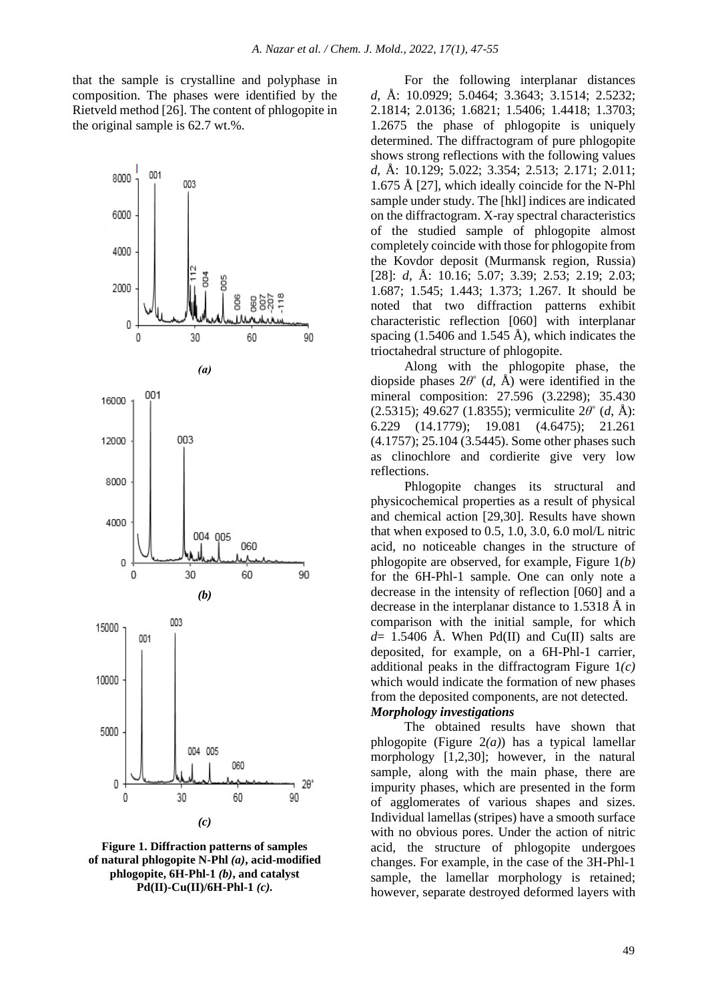that the sample is crystalline and polyphase in composition. The phases were identified by the Rietveld method [26]. The content of phlogopite in the original sample is 62.7 wt.%.



**Figure 1. Diffraction patterns of samples of natural phlogopite N-Phl** *(a)***, acid-modified phlogopite, 6H-Phl-1** *(b)***, and catalyst Pd(II)-Cu(II)/6H-Phl-1** *(c).*

For the following interplanar distances *d*, Å: 10.0929; 5.0464; 3.3643; 3.1514; 2.5232; 2.1814; 2.0136; 1.6821; 1.5406; 1.4418; 1.3703; 1.2675 the phase of phlogopite is uniquely determined. The diffractogram of pure phlogopite shows strong reflections with the following values *d*, Å: 10.129; 5.022; 3.354; 2.513; 2.171; 2.011; 1.675 Å [27], which ideally coincide for the N-Phl sample under study. The [hkl] indices are indicated on the diffractogram. X-ray spectral characteristics of the studied sample of phlogopite almost completely coincide with those for phlogopite from the Kovdor deposit (Murmansk region, Russia) [28]: *d*, Å: 10.16; 5.07; 3.39; 2.53; 2.19; 2.03; 1.687; 1.545; 1.443; 1.373; 1.267. It should be noted that two diffraction patterns exhibit characteristic reflection [060] with interplanar spacing  $(1.5406$  and  $1.545$  Å), which indicates the trioctahedral structure of phlogopite.

Along with the phlogopite phase, the diopside phases 2*θ*˚ (*d*, Å) were identified in the mineral composition: 27.596 (3.2298); 35.430 (2.5315); 49.627 (1.8355); vermiculite 2*θ*˚ (*d*, Å): 6.229 (14.1779); 19.081 (4.6475); 21.261 (4.1757); 25.104 (3.5445). Some other phases such as clinochlore and cordierite give very low reflections.

Phlogopite changes its structural and physicochemical properties as a result of physical and chemical action [29,30]. Results have shown that when exposed to 0.5, 1.0, 3.0, 6.0 mol/L nitric acid, no noticeable changes in the structure of phlogopite are observed, for example, Figure 1*(b)* for the 6H-Phl-1 sample. One can only note a decrease in the intensity of reflection [060] and a decrease in the interplanar distance to 1.5318 Å in comparison with the initial sample, for which  $d= 1.5406$  Å. When Pd(II) and Cu(II) salts are deposited, for example, on a 6H-Phl-1 carrier, additional peaks in the diffractogram Figure 1*(c)* which would indicate the formation of new phases from the deposited components, are not detected.

# *Morphology investigations*

The obtained results have shown that phlogopite (Figure 2*(a)*) has a typical lamellar morphology [1,2,30]; however, in the natural sample, along with the main phase, there are impurity phases, which are presented in the form of agglomerates of various shapes and sizes. Individual lamellas (stripes) have a smooth surface with no obvious pores. Under the action of nitric acid, the structure of phlogopite undergoes changes. For example, in the case of the 3H-Phl-1 sample, the lamellar morphology is retained; however, separate destroyed deformed layers with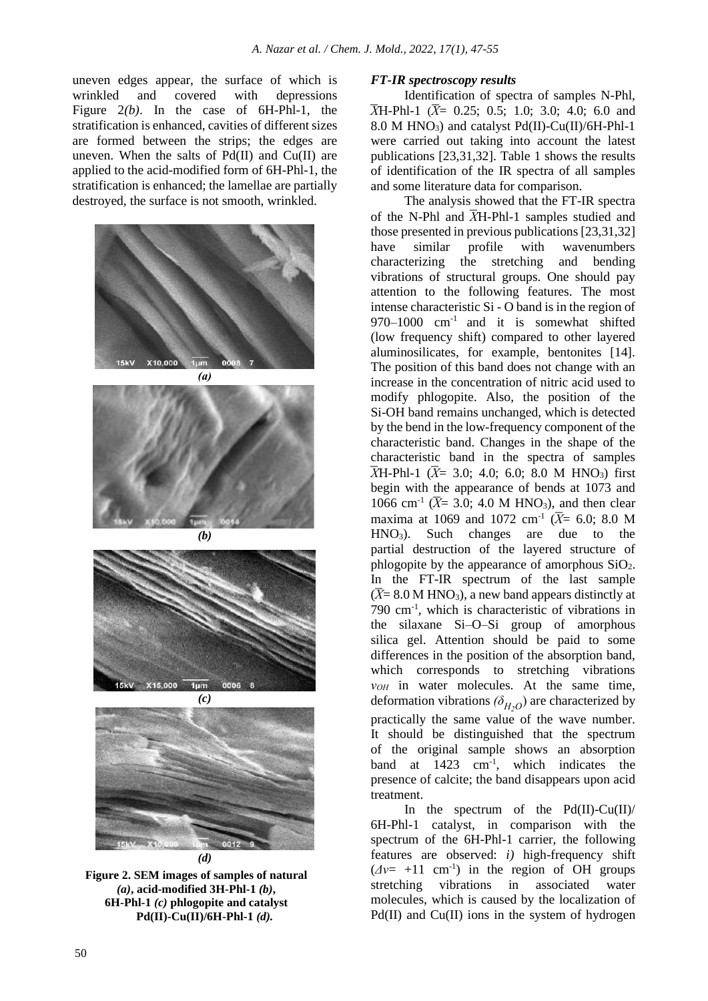uneven edges appear, the surface of which is wrinkled and covered with depressions Figure 2*(b)*. In the case of 6H-Phl-1, the stratification is enhanced, cavities of different sizes are formed between the strips; the edges are uneven. When the salts of  $Pd(II)$  and  $Cu(II)$  are applied to the acid-modified form of 6H-Phl-1, the stratification is enhanced; the lamellae are partially destroyed, the surface is not smooth, wrinkled.



*(d)*

**Figure 2. SEM images of samples of natural** *(a)***, acid-modified 3H-Phl-1** *(b)***, 6H-Phl-1** *(c)* **phlogopite and catalyst Pd(II)-Cu(II)/6H-Phl-1** *(d).*

# *FT-IR spectroscopy results*

Identification of spectra of samples N-Phl,  $\overline{X}$ H-Phl-1 ( $\overline{X}$ = 0.25; 0.5; 1.0; 3.0; 4.0; 6.0 and 8.0 M HNO<sub>3</sub>) and catalyst Pd(II)-Cu(II)/6H-Phl-1 were carried out taking into account the latest publications [23,31,32]. Table 1 shows the results of identification of the IR spectra of all samples and some literature data for comparison.

The analysis showed that the FT-IR spectra of the N-Phl and *X*̅Н-Phl-1 samples studied and those presented in previous publications [23,31,32] have similar profile with wavenumbers characterizing the stretching and bending vibrations of structural groups. One should pay attention to the following features. The most intense characteristic Si - O band is in the region of 970–1000 cm-1 and it is somewhat shifted (low frequency shift) compared to other layered aluminosilicates, for example, bentonites [14]. The position of this band does not change with an increase in the concentration of nitric acid used to modify phlogopite. Also, the position of the Si-OH band remains unchanged, which is detected by the bend in the low-frequency component of the characteristic band. Changes in the shape of the characteristic band in the spectra of samples  $\overline{X}$ H-Phl-1 ( $\overline{X}$  = 3.0; 4.0; 6.0; 8.0 M HNO<sub>3</sub>) first begin with the appearance of bends at 1073 and 1066 cm<sup>-1</sup> ( $\bar{X}$ = 3.0; 4.0 M HNO<sub>3</sub>), and then clear maxima at 1069 and 1072 cm<sup>-1</sup> ( $\bar{X}$ = 6.0; 8.0 M  $HNO<sub>3</sub>$ ). Such changes are due to the partial destruction of the layered structure of phlogopite by the appearance of amorphous SiO2. In the FT-IR spectrum of the last sample  $(\overline{X}$ = 8.0 M HNO<sub>3</sub>), a new band appears distinctly at 790 cm-1 , which is characteristic of vibrations in the silaxane Si–O–Si group of amorphous silica gel. Attention should be paid to some differences in the position of the absorption band, which corresponds to stretching vibrations *νОН* in water molecules. At the same time, deformation vibrations  $(\delta_{H_2O})$  are characterized by practically the same value of the wave number. It should be distinguished that the spectrum of the original sample shows an absorption band at 1423 cm-1 , which indicates the presence of calcite; the band disappears upon acid treatment.

In the spectrum of the  $Pd(II)-Cu(II)/$ 6H-Phl-1 catalyst, in comparison with the spectrum of the 6H-Phl-1 carrier, the following features are observed: *i)* high-frequency shift  $(\Delta v = +11 \text{ cm}^{-1})$  in the region of OH groups stretching vibrations in associated water molecules, which is caused by the localization of  $Pd(II)$  and  $Cu(II)$  ions in the system of hydrogen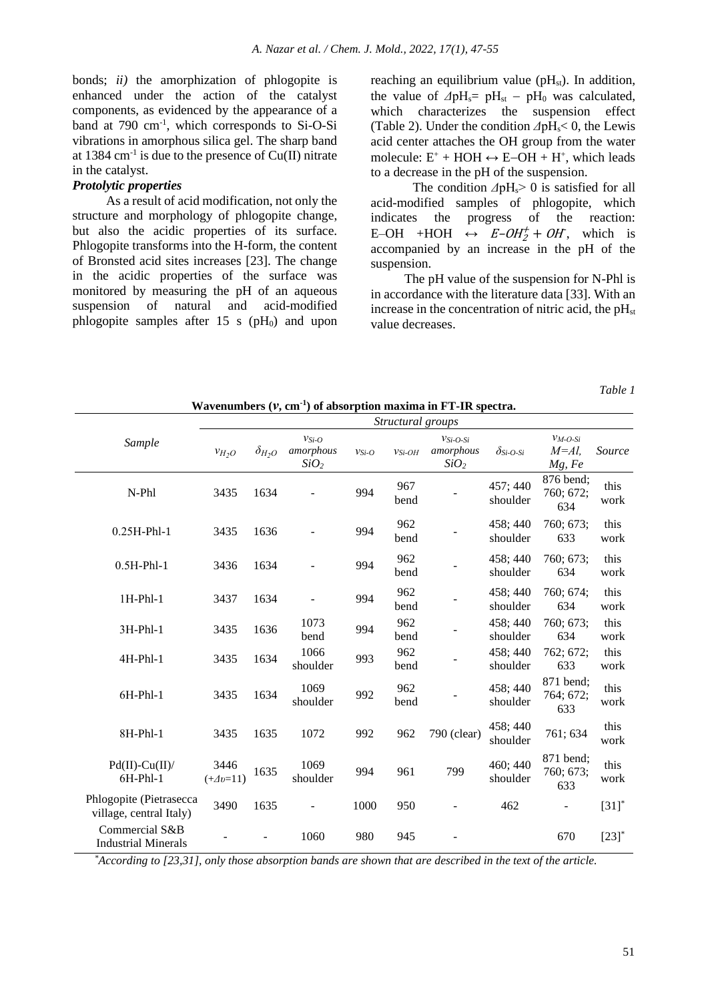bonds; *ii)* the amorphization of phlogopite is enhanced under the action of the catalyst components, as evidenced by the appearance of a band at 790 cm<sup>-1</sup>, which corresponds to Si-O-Si vibrations in amorphous silica gel. The sharp band at 1384 cm<sup>-1</sup> is due to the presence of  $Cu(II)$  nitrate in the catalyst.

# *Protolytic properties*

As a result of acid modification, not only the structure and morphology of phlogopite change, but also the acidic properties of its surface. Phlogopite transforms into the H-form, the content of Bronsted acid sites increases [23]. The change in the acidic properties of the surface was monitored by measuring the pH of an aqueous suspension of natural and acid-modified phlogopite samples after 15 s  $(pH_0)$  and upon reaching an equilibrium value ( $pH_{st}$ ). In addition, the value of  $\Delta pH_s$ =  $pH_{st}$  –  $pH_0$  was calculated, which characterizes the suspension effect (Table 2). Under the condition  $\Delta pH \le 0$ , the Lewis acid center attaches the OH group from the water molecule:  $E^+$  + HOH  $\leftrightarrow$  E-OH + H<sup>+</sup>, which leads to a decrease in the pH of the suspension.

The condition *Δ*pH<sub>s</sub> > 0 is satisfied for all acid-modified samples of phlogopite, which indicates the progress of the reaction: E-OH +HOH  $\leftrightarrow$  E-OH<sup>+</sup><sub>2</sub> + OH, which is accompanied by an increase in the pH of the suspension.

The pH value of the suspension for N-Phl is in accordance with the literature data [33]. With an increase in the concentration of nitric acid, the  $pH<sub>st</sub>$ value decreases.

*Table 1*

|                                                    | $m$ avenumbers $(v, cm)$ or absorption maxima in F I-IIX spectral<br>Structural groups |                 |                                          |            |             |                                             |                      |                                    |                     |
|----------------------------------------------------|----------------------------------------------------------------------------------------|-----------------|------------------------------------------|------------|-------------|---------------------------------------------|----------------------|------------------------------------|---------------------|
| Sample                                             | $v_{H_2O}$                                                                             | $\delta_{H_2O}$ | $VSi-O$<br>amorphous<br>SiO <sub>2</sub> | $v_{Si-O}$ | $v_{Si-OH}$ | $VSi-O-Si$<br>amorphous<br>SiO <sub>2</sub> | $\delta_{Si-O-Si}$   | $V_M-O-Si$<br>$M = Al$ ,<br>Mg, Fe | Source              |
| N-Phl                                              | 3435                                                                                   | 1634            |                                          | 994        | 967<br>bend |                                             | 457; 440<br>shoulder | 876 bend;<br>760; 672;<br>634      | this<br>work        |
| $0.25H-Phl-1$                                      | 3435                                                                                   | 1636            |                                          | 994        | 962<br>bend |                                             | 458; 440<br>shoulder | 760; 673;<br>633                   | this<br>work        |
| $0.5H-Phl-1$                                       | 3436                                                                                   | 1634            |                                          | 994        | 962<br>bend |                                             | 458; 440<br>shoulder | 760; 673;<br>634                   | this<br>work        |
| $1H-Phl-1$                                         | 3437                                                                                   | 1634            |                                          | 994        | 962<br>bend |                                             | 458; 440<br>shoulder | 760; 674;<br>634                   | this<br>work        |
| $3H-Phl-1$                                         | 3435                                                                                   | 1636            | 1073<br>bend                             | 994        | 962<br>bend |                                             | 458; 440<br>shoulder | 760; 673;<br>634                   | this<br>work        |
| $4H-Phl-1$                                         | 3435                                                                                   | 1634            | 1066<br>shoulder                         | 993        | 962<br>bend |                                             | 458; 440<br>shoulder | 762; 672;<br>633                   | this<br>work        |
| $6H-Phl-1$                                         | 3435                                                                                   | 1634            | 1069<br>shoulder                         | 992        | 962<br>bend |                                             | 458; 440<br>shoulder | 871 bend;<br>764; 672;<br>633      | this<br>work        |
| 8H-Phl-1                                           | 3435                                                                                   | 1635            | 1072                                     | 992        | 962         | 790 (clear)                                 | 458; 440<br>shoulder | 761; 634                           | this<br>work        |
| $Pd(II)$ -Cu $(II)$ /<br>$6H-Phl-1$                | 3446<br>$(+\Delta v=11)$                                                               | 1635            | 1069<br>shoulder                         | 994        | 961         | 799                                         | 460; 440<br>shoulder | 871 bend;<br>760; 673;<br>633      | this<br>work        |
| Phlogopite (Pietrasecca<br>village, central Italy) | 3490                                                                                   | 1635            |                                          | 1000       | 950         |                                             | 462                  | ÷,                                 | $[31]$ <sup>*</sup> |
| Commercial S&B<br><b>Industrial Minerals</b>       |                                                                                        |                 | 1060                                     | 980        | 945         |                                             |                      | 670                                | $[23]$ <sup>*</sup> |

**Wavenumbers (***ν***, cm-1 ) of absorption maxima in FT-IR spectra.**

 *\*According to [23,31], only those absorption bands are shown that are described in the text of the article.*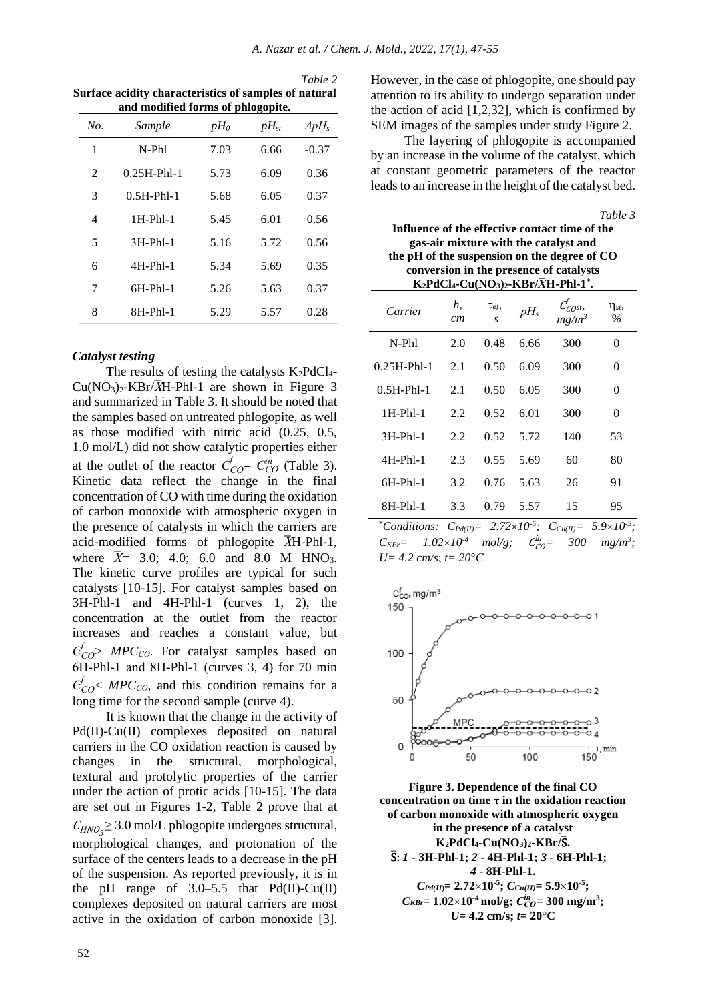*Table 2* **Surface acidity characteristics of samples of natural and modified forms of phlogopite.**

| No.            | Sample        | $pH_0$ | $pH_{st}$ | $\Delta pH_s$ |
|----------------|---------------|--------|-----------|---------------|
| 1              | $N-Ph1$       | 7.03   | 6.66      | $-0.37$       |
| $\mathfrak{D}$ | $0.25H-Ph1-1$ | 5.73   | 6.09      | 0.36          |
| 3              | $0.5H-Phl-1$  | 5.68   | 6.05      | 0.37          |
| $\overline{4}$ | $1H-Ph1-1$    | 5.45   | 6.01      | 0.56          |
| 5              | $3H-Ph1-1$    | 5.16   | 5.72      | 0.56          |
| 6              | $4H-Ph1-1$    | 5.34   | 5.69      | 0.35          |
| 7              | $6H-Ph1-1$    | 5.26   | 5.63      | 0.37          |
| 8              | $8H-Phl-1$    | 5.29   | 5.57      | 0.28          |

#### *Catalyst testing*

The results of testing the catalysts  $K_2PdCl_4$ - $Cu(NO<sub>3</sub>)<sub>2</sub>$ -KBr/ $\overline{X}$ H-Phl-1 are shown in Figure 3 and summarized in Table 3. It should be noted that the samples based on untreated phlogopite, as well as those modified with nitric acid (0.25, 0.5, 1.0 mol/L) did not show catalytic properties either at the outlet of the reactor  $C_{CO}^f = C_{CO}^{in}$  (Table 3). Kinetic data reflect the change in the final concentration of CO with time during the oxidation of carbon monoxide with atmospheric oxygen in the presence of catalysts in which the carriers are acid-modified forms of phlogopite  $\overline{X}$ H-Phl-1, where  $\bar{X}$ = 3.0; 4.0; 6.0 and 8.0 M HNO<sub>3</sub>. The kinetic curve profiles are typical for such catalysts [10-15]. For catalyst samples based on 3H-Phl-1 and 4H-Phl-1 (curves 1, 2), the concentration at the outlet from the reactor increases and reaches a constant value, but *СCO f* ˃ *MPCСО*. For catalyst samples based on 6Н-Phl-1 and 8Н-Phl-1 (curves 3, 4) for 70 min  $C_{CO}^f$   $\lt MPC_{CO}$ , and this condition remains for a long time for the second sample (curve 4).

It is known that the change in the activity of Pd(II)-Cu(II) complexes deposited on natural carriers in the CO oxidation reaction is caused by changes in the structural, morphological, textural and protolytic properties of the carrier under the action of protic acids [10-15]. The data are set out in Figures 1-2, Table 2 prove that at  $C_{HNO<sub>3</sub>}$   $\geq$  3.0 mol/L phlogopite undergoes structural, morphological changes, and protonation of the surface of the centers leads to a decrease in the pH of the suspension. As reported previously, it is in the pH range of  $3.0-5.5$  that Pd(II)-Cu(II) complexes deposited on natural carriers are most active in the oxidation of carbon monoxide [3]. However, in the case of phlogopite, one should pay attention to its ability to undergo separation under the action of acid [1,2,32], which is confirmed by SEM images of the samples under study Figure 2.

The layering of phlogopite is accompanied by an increase in the volume of the catalyst, which at constant geometric parameters of the reactor leads to an increase in the height of the catalyst bed.

**Influence of the effective contact time of the gas-air mixture with the catalyst and** 

*Table 3*

| the pH of the suspension on the degree of CO<br>conversion in the presence of catalysts<br>$K_2PdCl_4$ -Cu(NO <sub>3</sub> ) <sub>2</sub> -KBr/ $\overline{X}H$ -Phl-1 <sup>*</sup> . |          |           |        |                                               |                              |  |  |
|---------------------------------------------------------------------------------------------------------------------------------------------------------------------------------------|----------|-----------|--------|-----------------------------------------------|------------------------------|--|--|
| Carrier                                                                                                                                                                               | h,<br>cт | Tef,<br>S | $pH_s$ | $\frac{C^f_{\mathcal{C}O^{\rm st,}}}{mg/m^3}$ | $\eta_{\mathit{st}}$<br>$\%$ |  |  |
| N-Phl                                                                                                                                                                                 | 2.0      | 0.48      | 6.66   | 300                                           | 0                            |  |  |
| 0.25H-Phl-1                                                                                                                                                                           | 2.1      | 0.50      | 6.09   | 300                                           | 0                            |  |  |
| $0.5H-Phl-1$                                                                                                                                                                          | 2.1      | 0.50      | 6.05   | 300                                           | 0                            |  |  |
| $1H-Phl-1$                                                                                                                                                                            | 2.2      | 0.52      | 6.01   | 300                                           | 0                            |  |  |
| $3H-Phl-1$                                                                                                                                                                            | 2.2      | 0.52      | 5.72   | 140                                           | 53                           |  |  |
| 4H-Phl-1                                                                                                                                                                              | 2.3      | 0.55      | 5.69   | 60                                            | 80                           |  |  |
| $6H-Phl-1$                                                                                                                                                                            | 3.2      | 0.76      | 5.63   | 26                                            | 91                           |  |  |
| 8H-Phl-1                                                                                                                                                                              | 3.3      | 0.79      | 5.57   | 15                                            | 95                           |  |  |

 $*$  *Conditions:*  $C_{Pd(II)} = 2.72 \times 10^{-5}$ ;  $C_{Cu(II)} = 5.9 \times 10^{-5}$ ;  $C_{KBF} = 1.02 \times 10^{-4}$  *mol/g*;  $C_{CO}^{in} = 300$  *mg/m<sup>3</sup>*; *U= 4.2 cm/s t= 20С.*



**Figure 3. Dependence of the final CO concentration on time τ in the oxidation reaction of carbon monoxide with atmospheric oxygen in the presence of a catalyst K2PdCl4-Cu(NO3)2-KBr/**S̅**.** S̅**:** *1* **- 3Н-Phl-1;** *2* **- 4H-Phl-1;** *3* **- 6H-Phl-1;** *4* **- 8H-Phl-1.**   $C_{Pd(II)} = 2.72 \times 10^{-5}$ ;  $C_{Cu(II)} = 5.9 \times 10^{-5}$ ;  $C_{KBr} = 1.02 \times 10^{-4}$  mol/g;  $C_{CO}^{in} = 300$  mg/m<sup>3</sup>;  $U = 4.2$  cm/s;  $t = 20$ <sup>o</sup>C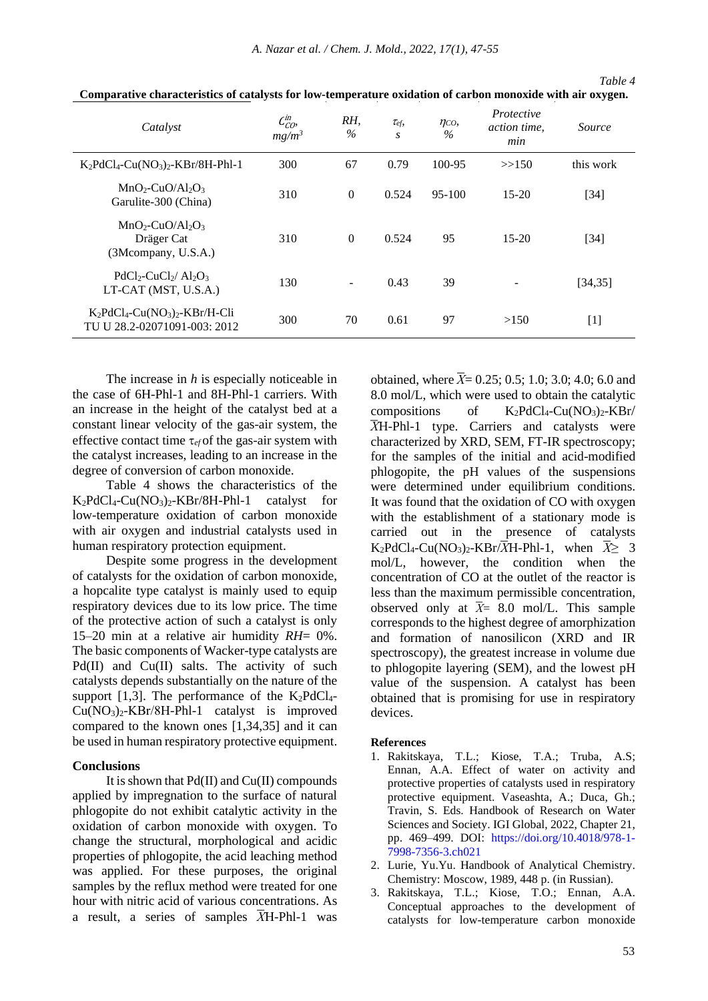*A. Nazar et al. / Chem. J. Mold., 2022, 17(1), 47-55*

| Catalyst                                                                                  | $\mathcal{L}_{\mathcal{C}\mathcal{O}}^{in}$<br>$mg/m^3$ | RH,<br>$\%$    | $\tau_{ef}$<br>$\boldsymbol{S}$ | $\eta_{CO}$<br>$\%$ | Protective<br>action time,<br>min | Source    |
|-------------------------------------------------------------------------------------------|---------------------------------------------------------|----------------|---------------------------------|---------------------|-----------------------------------|-----------|
| $K_2PdCl_4-Cu(NO_3)_2-KBr/8H-Phl-1$                                                       | 300                                                     | 67             | 0.79                            | 100-95              | >>150                             | this work |
| $MnO2-CuO/Al2O3$<br>Garulite-300 (China)                                                  | 310                                                     | $\Omega$       | 0.524                           | $95-100$            | $15-20$                           | $[34]$    |
| $MnO2-CuO/Al2O3$<br>Dräger Cat<br>(3Mcompany, U.S.A.)                                     | 310                                                     | $\Omega$       | 0.524                           | 95                  | $15-20$                           | $[34]$    |
| $PdCl2-CuCl2/ Al2O3$<br>LT-CAT (MST, U.S.A.)                                              | 130                                                     | $\blacksquare$ | 0.43                            | 39                  | -                                 | [34, 35]  |
| $K_2PdCl_4$ -Cu(NO <sub>3</sub> ) <sub>2</sub> -KBr/H-Cli<br>TU U 28.2-02071091-003: 2012 | 300                                                     | 70             | 0.61                            | 97                  | >150                              | $[1]$     |

**Comparative characteristics of catalysts for low-temperature oxidation of carbon monoxide with air oxygen.**

The increase in *h* is especially noticeable in the case of 6H-Phl-1 and 8H-Phl-1 carriers. With an increase in the height of the catalyst bed at a constant linear velocity of the gas-air system, the effective contact time  $\tau_{ef}$  of the gas-air system with the catalyst increases, leading to an increase in the degree of conversion of carbon monoxide.

Table 4 shows the characteristics of the K<sub>2</sub>PdCl<sub>4</sub>-Cu(NO<sub>3</sub>)<sub>2</sub>-KBr/8H-Phl-1 catalyst for low-temperature oxidation of carbon monoxide with air oxygen and industrial catalysts used in human respiratory protection equipment.

Despite some progress in the development of catalysts for the oxidation of carbon monoxide, a hopcalite type catalyst is mainly used to equip respiratory devices due to its low price. The time of the protective action of such a catalyst is only 15–20 min at a relative air humidity *RH*= 0%. The basic components of Wacker-type catalysts are Pd(II) and Cu(II) salts. The activity of such catalysts depends substantially on the nature of the support [1,3]. The performance of the  $K_2PdCl_4$ - $Cu(NO<sub>3</sub>)<sub>2</sub>-KBr/8H-Phl-1$  catalyst is improved compared to the known ones [1,34,35] and it can be used in human respiratory protective equipment.

#### **Conclusions**

It is shown that  $Pd(II)$  and  $Cu(II)$  compounds applied by impregnation to the surface of natural phlogopite do not exhibit catalytic activity in the oxidation of carbon monoxide with oxygen. To change the structural, morphological and acidic properties of phlogopite, the acid leaching method was applied. For these purposes, the original samples by the reflux method were treated for one hour with nitric acid of various concentrations. As a result, a series of samples  $\overline{X}$ H-Phl-1 was obtained, where  $\bar{X}$ = 0.25; 0.5; 1.0; 3.0; 4.0; 6.0 and 8.0 mol/L, which were used to obtain the catalytic compositions of  $K_2PdCl_4-Cu(NO_3)_2-KBr/$ *X*H-Phl-1 type. Carriers and catalysts were characterized by XRD, SEM, FT-IR spectroscopy; for the samples of the initial and acid-modified phlogopite, the pH values of the suspensions were determined under equilibrium conditions. It was found that the oxidation of CO with oxygen with the establishment of a stationary mode is carried out in the presence of catalysts  $K_2PdCl_4-Cu(NO_3)_2-KBr/\overline{X}H-Phl-1$ , when  $\overline{X}$   $\geq$  3 mol/L, however, the condition when the concentration of CO at the outlet of the reactor is less than the maximum permissible concentration, observed only at  $\bar{X}$ = 8.0 mol/L. This sample corresponds to the highest degree of amorphization and formation of nanosilicon (XRD and IR spectroscopy), the greatest increase in volume due to phlogopite layering (SEM), and the lowest pH value of the suspension. A catalyst has been obtained that is promising for use in respiratory devices.

#### **References**

- 1. Rakitskaya, T.L.; Kiose, T.A.; Truba, A.S; Ennan, A.A. Effect of water on activity and protective properties of catalysts used in respiratory protective equipment. Vaseashta, A.; Duca, Gh.; Travin, S. Eds. Handbook of Research on Water Sciences and Society. IGI Global, 2022, Chapter 21, pp. 469–499. DOI: [https://doi.org/10.4018/978-1-](https://doi.org/10.4018/978-1-7998-7356-3.ch021) [7998-7356-3.ch021](https://doi.org/10.4018/978-1-7998-7356-3.ch021)
- 2. Lurie, Yu.Yu. Handbook of Analytical Chemistry. Chemistry: Moscow, 1989, 448 p. (in Russian).
- 3. Rakitskaya, T.L.; Kiose, T.O.; Ennan, A.A. Conceptual approaches to the development of catalysts for low-temperature carbon monoxide

*Table 4*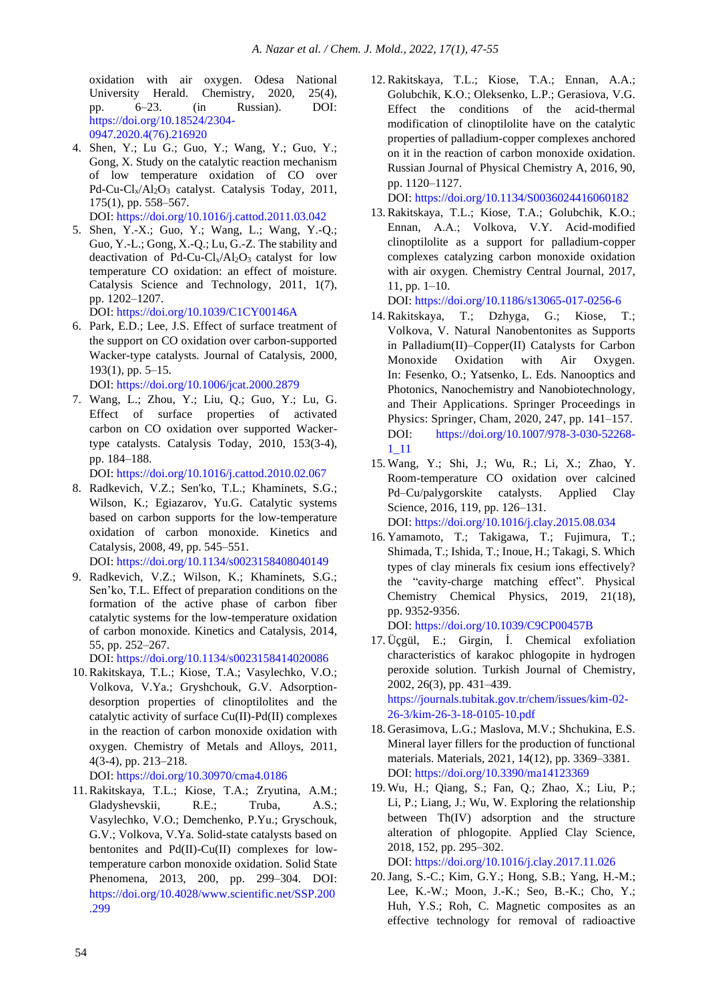oxidation with air oxygen. Odesa National University Herald. Chemistry, 2020, 25(4), pp. 6–23. (in Russian). DOI: [https://doi.org/10.18524/2304-](https://doi.org/10.18524/2304-0947.2020.4(76).216920) [0947.2020.4\(76\).216920](https://doi.org/10.18524/2304-0947.2020.4(76).216920)

4. Shen, Y.; Lu G.; Guo, Y.; Wang, Y.; Guo, Y.; Gong, X. Study on the catalytic reaction mechanism of low temperature oxidation of CO over Pd-Cu-Cl<sub>x</sub>/Al<sub>2</sub>O<sub>3</sub> catalyst. Catalysis Today, 2011, 175(1), pp. 558–567.

DOI: <https://doi.org/10.1016/j.cattod.2011.03.042>

5. Shen, Y.-X.; Guo, Y.; Wang, L.; Wang, Y.-Q.; Guo, Y.-L.; Gong, X.-Q.; Lu, G.-Z. The stability and deactivation of Pd-Cu-Cl<sub>x</sub>/Al<sub>2</sub>O<sub>3</sub> catalyst for low temperature CO oxidation: an effect of moisture. Catalysis Science and Technology, 2011, 1(7), pp. 1202–1207.

DOI: https://doi.org[/10.1039/C1CY00146A](https://doi.org/10.1039/C1CY00146A)

6. Park, E.D.; Lee, J.S. Effect of surface treatment of the support on CO oxidation over carbon-supported Wacker-type catalysts. Journal of Catalysis, 2000, 193(1), pp. 5–15.

DOI: <https://doi.org/10.1006/jcat.2000.2879>

7. Wang, L.; Zhou, Y.; Liu, Q.; Guo, Y.; Lu, G. Effect of surface properties of activated carbon on CO oxidation over supported Wackertype catalysts. Catalysis Today, 2010, 153(3-4), pp. 184–188.

DOI: <https://doi.org/10.1016/j.cattod.2010.02.067>

8. Radkevich, V.Z.; Sen'ko, T.L.; Khaminets, S.G.; Wilson, K.; Egiazarov, Yu.G. Catalytic systems based on carbon supports for the low-temperature oxidation of carbon monoxide. Kinetics and Catalysis, 2008, 49, pp. 545–551.

DOI: <https://doi.org/10.1134/s0023158408040149>

9. Radkevich, V.Z.; Wilson, K.; Khaminets, S.G.; Sen'ko, T.L. Effect of preparation conditions on the formation of the active phase of carbon fiber catalytic systems for the low-temperature oxidation of carbon monoxide. Kinetics and Catalysis, 2014, 55, pp. 252–267.

DOI: https://doi.org/10.1134/s0023158414020086

10.Rakitskaya, T.L.; Kiose, T.A.; Vasylechko, V.O.; Volkova, V.Ya.; Gryshchouk, G.V. Adsorptiondesorption properties of clinoptilolites and the catalytic activity of surface Cu(II)-Pd(II) complexes in the reaction of carbon monoxide oxidation with oxygen. Chemistry of Metals and Alloys, 2011, 4(3-4), pp. 213–218.

DOI: <https://doi.org/10.30970/cma4.0186>

11.Rakitskaya, T.L.; Kiose, T.A.; Zryutina, A.M.; Gladyshevskii, R.E.; Truba, A.S.; Vasylechko, V.O.; Demchenko, P.Yu.; Gryschouk, G.V.; Volkova, V.Ya. Solid-state catalysts based on bentonites and Pd(II)-Cu(II) complexes for lowtemperature carbon monoxide oxidation. Solid State Phenomena, 2013, 200, pp. 299–304. DOI: [https://doi.org/10.4028/www.scientific.net/SSP.200](https://doi.org/10.4028/www.scientific.net/SSP.200.299) [.299](https://doi.org/10.4028/www.scientific.net/SSP.200.299)

12.Rakitskaya, T.L.; Kiose, T.A.; Ennan, A.A.; Golubchik, K.О.; Oleksenko, L.P.; Gerasiova, V.G. Effect the conditions of the acid-thermal modification of clinoptilolite have on the catalytic properties of palladium-copper complexes anchored on it in the reaction of carbon monoxide oxidation. Russian Journal of Physical Chemistry A, 2016, 90, pp. 1120–1127.

DOI: <https://doi.org/10.1134/S0036024416060182>

13.Rakitskaya, T.L.; Kiose, T.A.; Golubchik, K.О.; Ennan, А.A.; Volkova, V.Y. Acid-modified clinoptilolite as a support for palladium-copper complexes catalyzing carbon monoxide oxidation with air oxygen*.* Chemistry Central Journal, 2017, 11, pp. 1–10.

DOI: <https://doi.org/10.1186/s13065-017-0256-6>

- 14.Rakitskaya, T.; Dzhyga, G.; Kiose, T.; Volkova, V. Natural Nanobentonites as Supports in Palladium(II)–Copper(II) Catalysts for Carbon Monoxide Oxidation with Air Oxygen. In: Fesenko, O.; Yatsenko, L. Eds. Nanooptics and Photonics, Nanochemistry and Nanobiotechnology, and Their Applications. Springer Proceedings in Physics: Springer, Cham, 2020, 247, pp. 141–157. DOI: [https://doi.org/10.1007/978-3-030-52268-](https://doi.org/10.1007/978-3-030-52268-1_11) [1\\_11](https://doi.org/10.1007/978-3-030-52268-1_11)
- 15. Wang, Y.; Shi, J.; Wu, R.; Li, X.; Zhao, Y. Room-temperature CO oxidation over calcined Pd–Cu/palygorskite catalysts. Applied Clay Science, 2016, 119, pp. 126–131. DOI: <https://doi.org/10.1016/j.clay.2015.08.034>
- 16. Yamamoto, T.; Takigawa, T.; Fujimura, T.; Shimada, T.; Ishida, T.; Inoue, H.; Takagi, S. Which types of clay minerals fix cesium ions effectively? the "cavity-charge matching effect". Physical Chemistry Chemical Physics, 2019, 21(18), pp. 9352-9356.

DOI: https://doi.org/10.1039/C9CP00457B

17. Üçgül, E.; Girgin, İ. Chemical exfoliation characteristics of karakoc phlogopite in hydrogen peroxide solution. Turkish Journal of Chemistry, 2002, 26(3), pp. 431–439.

[https://journals.tubitak.gov.tr/chem/issues/kim-02-](https://journals.tubitak.gov.tr/chem/issues/kim-02-26-3/kim-26-3-18-0105-10.pdf) [26-3/kim-26-3-18-0105-10.pdf](https://journals.tubitak.gov.tr/chem/issues/kim-02-26-3/kim-26-3-18-0105-10.pdf)

- 18. Gerasimova, L.G.; Maslova, M.V.; Shchukina, E.S. Mineral layer fillers for the production of functional materials. Materials, 2021, 14(12), pp. 3369–3381. DOI: <https://doi.org/10.3390/ma14123369>
- 19. Wu, H.; Qiang, S.; Fan, Q.; Zhao, X.; Liu, P.; Li, P.; Liang, J.; Wu, W. Exploring the relationship between Th(IV) adsorption and the structure alteration of phlogopite. Applied Clay Science, 2018, 152, pp. 295–302.

DOI: <https://doi.org/10.1016/j.clay.2017.11.026>

20.Jang, S.-C.; Kim, G.Y.; Hong, S.B.; Yang, H.-M.; Lee, K.-W.; Moon, J.-K.; Seo, B.-K.; Cho, Y.; Huh, Y.S.; Roh, C. Magnetic composites as an effective technology for removal of radioactive